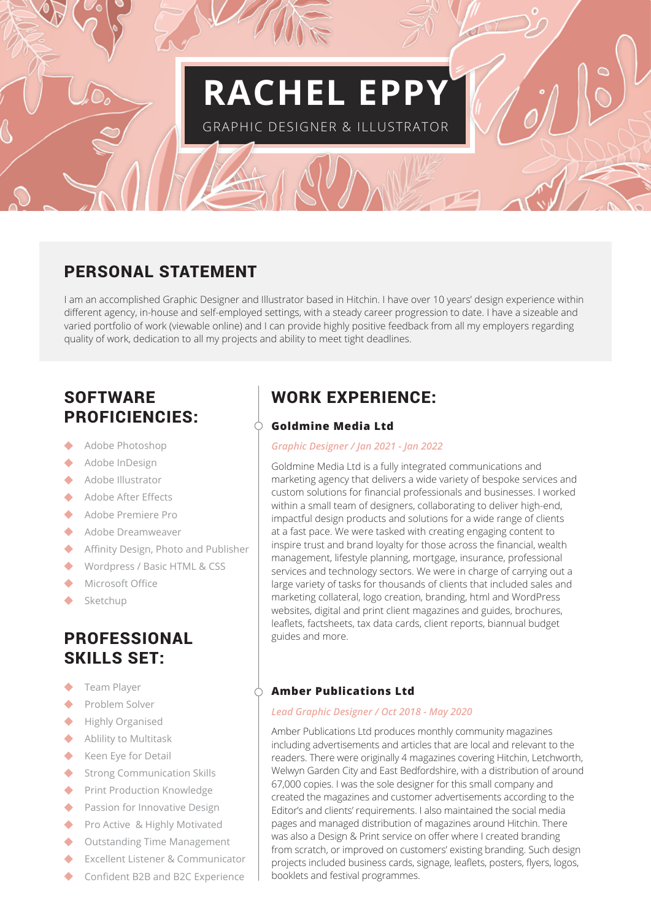# **RACHEL EPP**

GRAPHIC DESIGNER & ILLUSTRATOR

# PERSONAL STATEMENT

I am an accomplished Graphic Designer and Illustrator based in Hitchin. I have over 10 years' design experience within different agency, in-house and self-employed settings, with a steady career progression to date. I have a sizeable and varied portfolio of work (viewable online) and I can provide highly positive feedback from all my employers regarding quality of work, dedication to all my projects and ability to meet tight deadlines.

# **SOFTWARE** PROFICIENCIES:

- Adobe Photoshop
- $\ddot{\bullet}$ Adobe InDesign
- ◆ Adobe Illustrator
- Adobe After Effects  $\blacktriangle$
- ◆ Adobe Premiere Pro
- Adobe Dreamweaver
- $\blacktriangle$  . Affinity Design, Photo and Publisher
- $\blacktriangle$  . Wordpress / Basic HTML & CSS
- Microsoft Office
- Sketchup  $\blacklozenge$

## PROFESSIONAL SKILLS SET:

- $\blacktriangle$ Team Player
- ◆ Problem Solver
- ◆ Highly Organised
- ◆ Ablility to Multitask
- ◆ Keen Eye for Detail
- $\bullet$ Strong Communication Skills
- ◆ Print Production Knowledge
- ◆ Passion for Innovative Design
- ◆ Pro Active & Highly Motivated
- Outstanding Time Management  $\blacktriangle$
- $\bullet$ Excellent Listener & Communicator
- ◆ Confident B2B and B2C Experience

# WORK EXPERIENCE:

## **Goldmine Media Ltd**

## *Graphic Designer / Jan 2021 - Jan 2022*

Goldmine Media Ltd is a fully integrated communications and marketing agency that delivers a wide variety of bespoke services and custom solutions for financial professionals and businesses. I worked within a small team of designers, collaborating to deliver high-end, impactful design products and solutions for a wide range of clients at a fast pace. We were tasked with creating engaging content to inspire trust and brand loyalty for those across the financial, wealth management, lifestyle planning, mortgage, insurance, professional services and technology sectors. We were in charge of carrying out a large variety of tasks for thousands of clients that included sales and marketing collateral, logo creation, branding, html and WordPress websites, digital and print client magazines and guides, brochures, leaflets, factsheets, tax data cards, client reports, biannual budget guides and more.

## **Amber Publications Ltd**

### *Lead Graphic Designer / Oct 2018 - May 2020*

Amber Publications Ltd produces monthly community magazines including advertisements and articles that are local and relevant to the readers. There were originally 4 magazines covering Hitchin, Letchworth, Welwyn Garden City and East Bedfordshire, with a distribution of around 67,000 copies. I was the sole designer for this small company and created the magazines and customer advertisements according to the Editor's and clients' requirements. I also maintained the social media pages and managed distribution of magazines around Hitchin. There was also a Design & Print service on offer where I created branding from scratch, or improved on customers' existing branding. Such design projects included business cards, signage, leaflets, posters, flyers, logos, booklets and festival programmes.